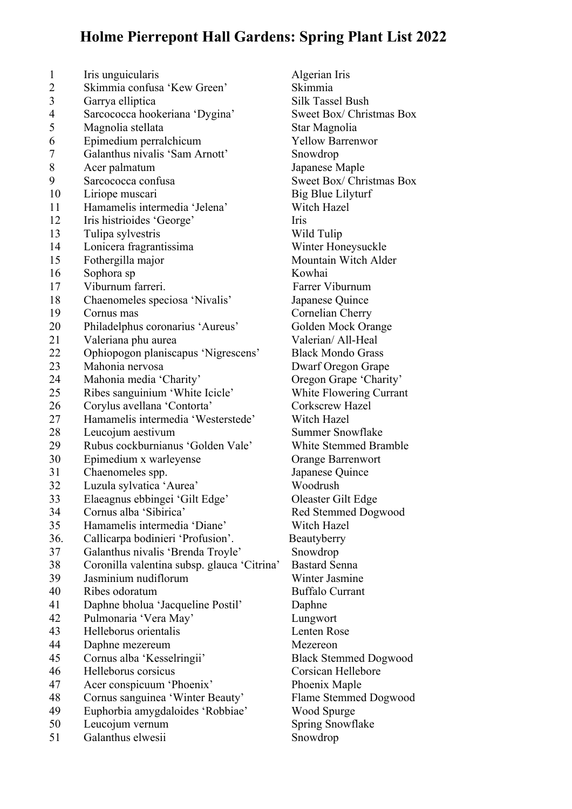## **Holme Pierrepont Hall Gardens: Spring Plant List 2022**

 Iris unguicularis Algerian Iris Skimmia confusa 'Kew Green' Skimmia 3 Garrya elliptica Silk Tassel Bush Sarcococca hookeriana 'Dygina' Sweet Box/ Christmas Box 5 Magnolia stellata Star Magnolia Epimedium perralchicum Yellow Barrenwor Galanthus nivalis 'Sam Arnott' Snowdrop Acer palmatum Japanese Maple 9 Sarcococca confusa Sweet Box/ Christmas Box 10 Liriope muscari Big Blue Lilyturf Hamamelis intermedia 'Jelena' Witch Hazel Iris histrioides 'George' Iris Tulipa sylvestris Wild Tulip 14 Lonicera fragrantissima<br>
Winter Honeysuckle Fothergilla major Mountain Witch Alder 16 Sophora sp Kowhai 17 Viburnum farreri. Farrer Viburnum Chaenomeles speciosa 'Nivalis' Japanese Quince 19 Cornus mas Cornelian Cherry 20 Philadelphus coronarius 'Aureus' Golden Mock Orange Valeriana phu aurea Valerian/ All-Heal Ophiopogon planiscapus 'Nigrescens' Black Mondo Grass Mahonia nervosa Dwarf Oregon Grape Mahonia media 'Charity' Oregon Grape 'Charity' Ribes sanguinium 'White Icicle' White Flowering Currant 26 Corylus avellana 'Contorta' Corkscrew Hazel Hamamelis intermedia 'Westerstede' Witch Hazel 28 Leucojum aestivum Summer Snowflake Rubus cockburnianus 'Golden Vale' White Stemmed Bramble Epimedium x warleyense Orange Barrenwort Chaenomeles spp. Japanese Quince Luzula sylvatica 'Aurea' Woodrush Elaeagnus ebbingei 'Gilt Edge' Oleaster Gilt Edge Cornus alba 'Sibirica' Red Stemmed Dogwood Hamamelis intermedia 'Diane' Witch Hazel 36. Callicarpa bodinieri 'Profusion'. Beautyberry Galanthus nivalis 'Brenda Troyle' Snowdrop Coronilla valentina subsp. glauca 'Citrina' Bastard Senna Jasminium nudiflorum Winter Jasmine Ribes odoratum Buffalo Currant Daphne bholua 'Jacqueline Postil' Daphne Pulmonaria 'Vera May' Lungwort Helleborus orientalis Lenten Rose Daphne mezereum Mezereon Cornus alba 'Kesselringii' Black Stemmed Dogwood Helleborus corsicus Corsican Hellebore Acer conspicuum 'Phoenix' Phoenix Maple 48 Cornus sanguinea 'Winter Beauty' Flame Stemmed Dogwood<br>49 Euphorbia amygdaloides 'Robbiae' Wood Spurge 49 Euphorbia amygdaloides 'Robbiae' 50 Leucojum vernum Spring Snowflake Galanthus elwesii Snowdrop